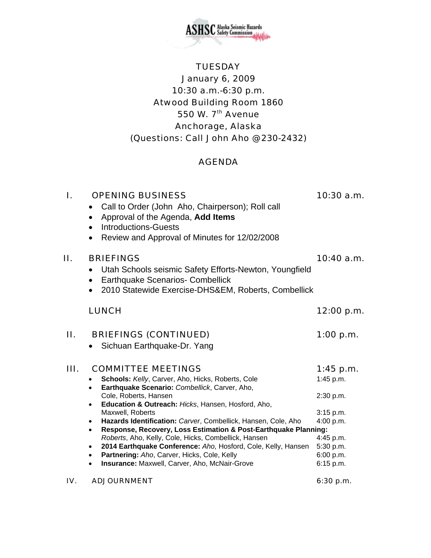

# **TUESDAY** January 6, 2009 10:30 a.m.-6:30 p.m. Atwood Building Room 1860 550 W. 7<sup>th</sup> Avenue Anchorage, Alaska (Questions: Call John Aho @ 230-2432)

### AGENDA

| I. | <b>OPENING BUSINESS</b><br>Call to Order (John Aho, Chairperson); Roll call<br>Approval of the Agenda, Add Items<br>$\bullet$<br><b>Introductions-Guests</b><br>$\bullet$<br>Review and Approval of Minutes for 12/02/2008<br>$\bullet$                                                                                                                                                                                                                                                                                                                                                                                                                                                                 | $10:30$ a.m.                                                                                                        |
|----|---------------------------------------------------------------------------------------------------------------------------------------------------------------------------------------------------------------------------------------------------------------------------------------------------------------------------------------------------------------------------------------------------------------------------------------------------------------------------------------------------------------------------------------------------------------------------------------------------------------------------------------------------------------------------------------------------------|---------------------------------------------------------------------------------------------------------------------|
| П. | <b>BRIEFINGS</b><br>Utah Schools seismic Safety Efforts-Newton, Youngfield<br><b>Earthquake Scenarios- Combellick</b><br>$\bullet$<br>2010 Statewide Exercise-DHS&EM, Roberts, Combellick<br>$\bullet$                                                                                                                                                                                                                                                                                                                                                                                                                                                                                                  | 10:40 a.m.                                                                                                          |
|    | <b>LUNCH</b>                                                                                                                                                                                                                                                                                                                                                                                                                                                                                                                                                                                                                                                                                            | 12:00 p.m.                                                                                                          |
| Н. | <b>BRIEFINGS (CONTINUED)</b><br>Sichuan Earthquake-Dr. Yang                                                                                                                                                                                                                                                                                                                                                                                                                                                                                                                                                                                                                                             | $1:00$ p.m.                                                                                                         |
| Ш. | <b>COMMITTEE MEETINGS</b><br>Schools: Kelly, Carver, Aho, Hicks, Roberts, Cole<br>$\bullet$<br>Earthquake Scenario: Combellick, Carver, Aho,<br>$\bullet$<br>Cole, Roberts, Hansen<br>Education & Outreach: Hicks, Hansen, Hosford, Aho,<br>$\bullet$<br>Maxwell, Roberts<br>Hazards Identification: Carver, Combellick, Hansen, Cole, Aho<br>$\bullet$<br>Response, Recovery, Loss Estimation & Post-Earthquake Planning:<br>$\bullet$<br>Roberts, Aho, Kelly, Cole, Hicks, Combellick, Hansen<br>2014 Earthquake Conference: Aho, Hosford, Cole, Kelly, Hansen<br>$\bullet$<br>Partnering: Aho, Carver, Hicks, Cole, Kelly<br>$\bullet$<br>Insurance: Maxwell, Carver, Aho, McNair-Grove<br>$\bullet$ | $1:45$ p.m.<br>1:45 p.m.<br>2:30 p.m.<br>3:15 p.m.<br>4:00 p.m.<br>4:45 p.m.<br>5:30 p.m.<br>6:00 p.m.<br>6:15 p.m. |

IV. ADJOURNMENT 6:30 p.m.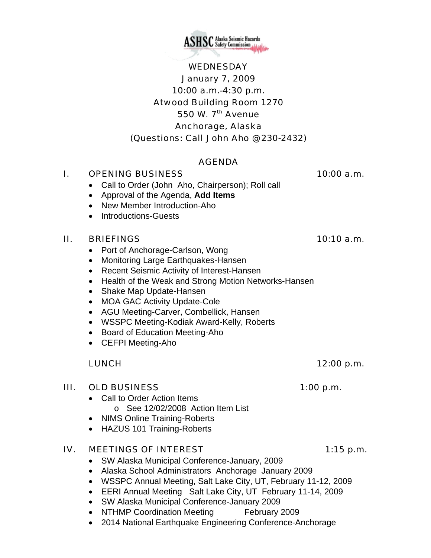

# WEDNESDAY January 7, 2009 10:00 a.m.-4:30 p.m. Atwood Building Room 1270 550 W. 7<sup>th</sup> Avenue Anchorage, Alaska (Questions: Call John Aho @ 230-2432)

### AGENDA

#### I. OPENING BUSINESS 10:00 a.m.

- Call to Order (John Aho, Chairperson); Roll call
- Approval of the Agenda, **Add Items**
- New Member Introduction-Aho
- Introductions-Guests

#### II. BRIEFINGS 10:10 a.m.

- Port of Anchorage-Carlson, Wong
- Monitoring Large Earthquakes-Hansen
- Recent Seismic Activity of Interest-Hansen
- Health of the Weak and Strong Motion Networks-Hansen
- Shake Map Update-Hansen
- MOA GAC Activity Update-Cole
- AGU Meeting-Carver, Combellick, Hansen
- WSSPC Meeting-Kodiak Award-Kelly, Roberts
- Board of Education Meeting-Aho
- CEFPI Meeting-Aho

#### LUNCH 12:00 p.m.

#### III. OLD BUSINESS 1:00 p.m.

- Call to Order Action Items
	- o See 12/02/2008 Action Item List
- NIMS Online Training-Roberts
- HAZUS 101 Training-Roberts

#### IV. MEETINGS OF INTEREST 1:15 p.m.

- SW Alaska Municipal Conference-January, 2009
- Alaska School Administrators Anchorage January 2009
- WSSPC Annual Meeting, Salt Lake City, UT, February 11-12, 2009
- EERI Annual Meeting Salt Lake City, UT February 11-14, 2009
- SW Alaska Municipal Conference-January 2009
- NTHMP Coordination Meeting February 2009
- 2014 National Earthquake Engineering Conference-Anchorage